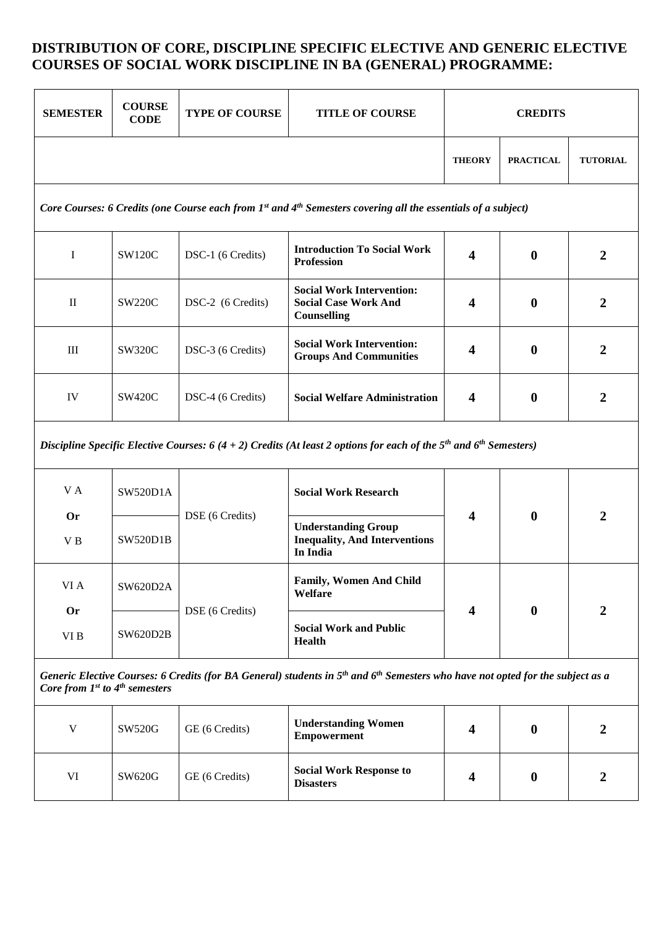# **DISTRIBUTION OF CORE, DISCIPLINE SPECIFIC ELECTIVE AND GENERIC ELECTIVE COURSES OF SOCIAL WORK DISCIPLINE IN BA (GENERAL) PROGRAMME:**

| <b>SEMESTER</b>                                                                                                                                                                                    | <b>COURSE</b><br><b>CODE</b> | TYPE OF COURSE    | <b>TITLE OF COURSE</b>                                                         | <b>CREDITS</b>          |                  |                  |
|----------------------------------------------------------------------------------------------------------------------------------------------------------------------------------------------------|------------------------------|-------------------|--------------------------------------------------------------------------------|-------------------------|------------------|------------------|
|                                                                                                                                                                                                    |                              |                   |                                                                                | <b>THEORY</b>           | <b>PRACTICAL</b> | <b>TUTORIAL</b>  |
| Core Courses: 6 Credits (one Course each from 1st and 4th Semesters covering all the essentials of a subject)                                                                                      |                              |                   |                                                                                |                         |                  |                  |
| $\mathbf I$                                                                                                                                                                                        | <b>SW120C</b>                | DSC-1 (6 Credits) | <b>Introduction To Social Work</b><br><b>Profession</b>                        | $\overline{\mathbf{4}}$ | $\bf{0}$         | $\overline{2}$   |
| $\mathbf{I}$                                                                                                                                                                                       | <b>SW220C</b>                | DSC-2 (6 Credits) | <b>Social Work Intervention:</b><br><b>Social Case Work And</b><br>Counselling | 4                       | $\bf{0}$         | $\overline{2}$   |
| $\rm III$                                                                                                                                                                                          | <b>SW320C</b>                | DSC-3 (6 Credits) | <b>Social Work Intervention:</b><br><b>Groups And Communities</b>              | 4                       | $\bf{0}$         | $\overline{2}$   |
| IV                                                                                                                                                                                                 | <b>SW420C</b>                | DSC-4 (6 Credits) | <b>Social Welfare Administration</b>                                           | 4                       | $\bf{0}$         | $\overline{2}$   |
| Discipline Specific Elective Courses: 6 (4 + 2) Credits (At least 2 options for each of the $5th$ and $6th$ Semesters)                                                                             |                              |                   |                                                                                |                         |                  |                  |
| VA                                                                                                                                                                                                 | SW520D1A                     | DSE (6 Credits)   | <b>Social Work Research</b>                                                    | 4                       | $\bf{0}$         | $\overline{2}$   |
| <b>Or</b><br>V B                                                                                                                                                                                   | <b>SW520D1B</b>              |                   | <b>Understanding Group</b><br><b>Inequality, And Interventions</b><br>In India |                         |                  |                  |
| VI A                                                                                                                                                                                               | SW620D2A                     | DSE (6 Credits)   | Family, Women And Child<br>Welfare                                             | 4                       | $\bf{0}$         | $\overline{2}$   |
| <b>Or</b><br>$\rm VI$ B                                                                                                                                                                            | SW620D2B                     |                   | <b>Social Work and Public</b><br><b>Health</b>                                 |                         |                  |                  |
| Generic Elective Courses: 6 Credits (for BA General) students in 5 <sup>th</sup> and 6 <sup>th</sup> Semesters who have not opted for the subject as a<br>Core from $1^{st}$ to $4^{th}$ semesters |                              |                   |                                                                                |                         |                  |                  |
| $\mathbf V$                                                                                                                                                                                        | SW520G                       | GE (6 Credits)    | <b>Understanding Women</b><br><b>Empowerment</b>                               | 4                       | $\bf{0}$         | $\boldsymbol{2}$ |
| VI                                                                                                                                                                                                 | SW620G                       | GE (6 Credits)    | <b>Social Work Response to</b><br><b>Disasters</b>                             | 4                       | $\bf{0}$         | $\boldsymbol{2}$ |